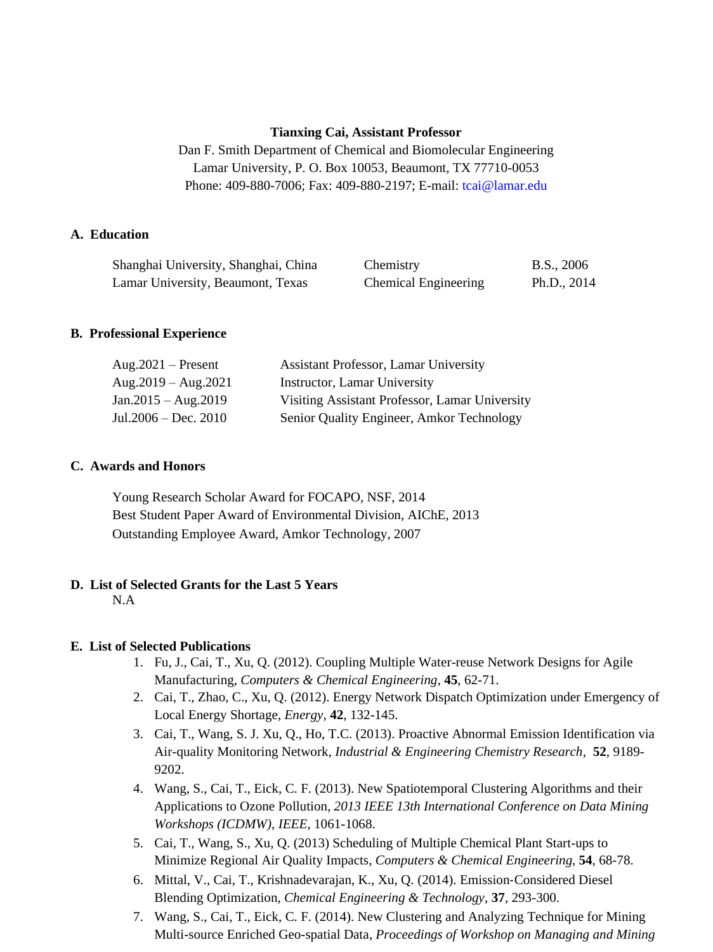#### **Tianxing Cai, Assistant Professor**

Dan F. Smith Department of Chemical and Biomolecular Engineering Lamar University, P. O. Box 10053, Beaumont, TX 77710-0053 Phone: 409-880-7006; Fax: 409-880-2197; E-mail: [tcai@lamar.edu](mailto:tcai@lamar.edu)

### **A. Education**

| Shanghai University, Shanghai, China | Chemistry            | B.S., 2006    |
|--------------------------------------|----------------------|---------------|
| Lamar University, Beaumont, Texas    | Chemical Engineering | Ph.D., $2014$ |

#### **B. Professional Experience**

| $Aug.2021 - Present$           | <b>Assistant Professor, Lamar University</b>   |
|--------------------------------|------------------------------------------------|
| Aug. $2019 - \text{Aug}. 2021$ | Instructor, Lamar University                   |
| $Jan.2015 - Aug.2019$          | Visiting Assistant Professor, Lamar University |
| Jul.2006 – Dec. 2010           | Senior Quality Engineer, Amkor Technology      |

### **C. Awards and Honors**

Young Research Scholar Award for FOCAPO, NSF, 2014 Best Student Paper Award of Environmental Division, AIChE, 2013 Outstanding Employee Award, Amkor Technology, 2007

# **D. List of Selected Grants for the Last 5 Years**

N.A

#### **E. List of Selected Publications**

- 1. Fu, J., Cai, T., Xu, Q. (2012). Coupling Multiple Water-reuse Network Designs for Agile Manufacturing, *Computers & Chemical Engineering*, **45**, 62-71.
- 2. Cai, T., Zhao, C., Xu, Q. (2012). Energy Network Dispatch Optimization under Emergency of Local Energy Shortage, *Energy*, **42**, 132-145.
- 3. Cai, T., Wang, S. J. Xu, Q., Ho, T.C. (2013). Proactive Abnormal Emission Identification via Air-quality Monitoring Network, *Industrial & Engineering Chemistry Research*, **52**, 9189- 9202.
- 4. Wang, S., Cai, T., Eick, C. F. (2013). New Spatiotemporal Clustering Algorithms and their Applications to Ozone Pollution, *2013 IEEE 13th International Conference on Data Mining Workshops (ICDMW)*, *IEEE*, 1061-1068.
- 5. Cai, T., Wang, S., Xu, Q. (2013) Scheduling of Multiple Chemical Plant Start-ups to Minimize Regional Air Quality Impacts, *Computers & Chemical Engineering*, **54**, 68-78.
- 6. Mittal, V., Cai, T., Krishnadevarajan, K., Xu, Q. (2014). Emission‐Considered Diesel Blending Optimization, *Chemical Engineering & Technology*, **37**, 293-300.
- 7. Wang, S., Cai, T., Eick, C. F. (2014). New Clustering and Analyzing Technique for Mining Multi-source Enriched Geo-spatial Data, *Proceedings of Workshop on Managing and Mining*